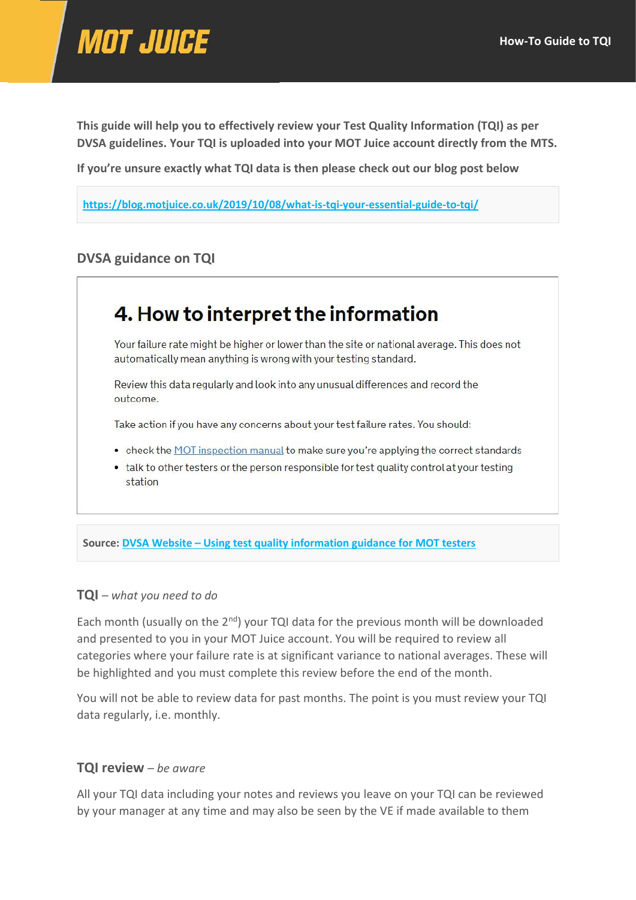

**This guide will help you to effectively review your Test Quality Information (TQI) as per DVSA guidelines. Your TQI is uploaded into your MOT Juice account directly from the MTS.**

**If you're unsure exactly what TQI data is then please check out our blog post below**

**<https://blog.motjuice.co.uk/2019/10/08/what-is-tqi-your-essential-guide-to-tqi/>**

# **DVSA guidance on TQI**

# 4. How to interpret the information

Your failure rate might be higher or lower than the site or national average. This does not automatically mean anything is wrong with your testing standard.

Review this data regularly and look into any unusual differences and record the outcome.

Take action if you have any concerns about your test failure rates. You should:

- check the MOT inspection manual to make sure you're applying the correct standards
- talk to other testers or the person responsible for test quality control at your testing station

**Source: DVSA Website – [Using test quality information guidance for MOT testers](https://www.gov.uk/government/publications/mot-test-quality-information-guidance-for-mot-testers-and-managers/using-mot-test-quality-information-guidance-for-mot-testers)**

#### **TQI** – *what you need to do*

Each month (usually on the  $2<sup>nd</sup>$ ) your TQI data for the previous month will be downloaded and presented to you in your MOT Juice account. You will be required to review all categories where your failure rate is at significant variance to national averages. These will be highlighted and you must complete this review before the end of the month.

You will not be able to review data for past months. The point is you must review your TQI data regularly, i.e. monthly.

#### **TQI review** – *be aware*

All your TQI data including your notes and reviews you leave on your TQI can be reviewed by your manager at any time and may also be seen by the VE if made available to them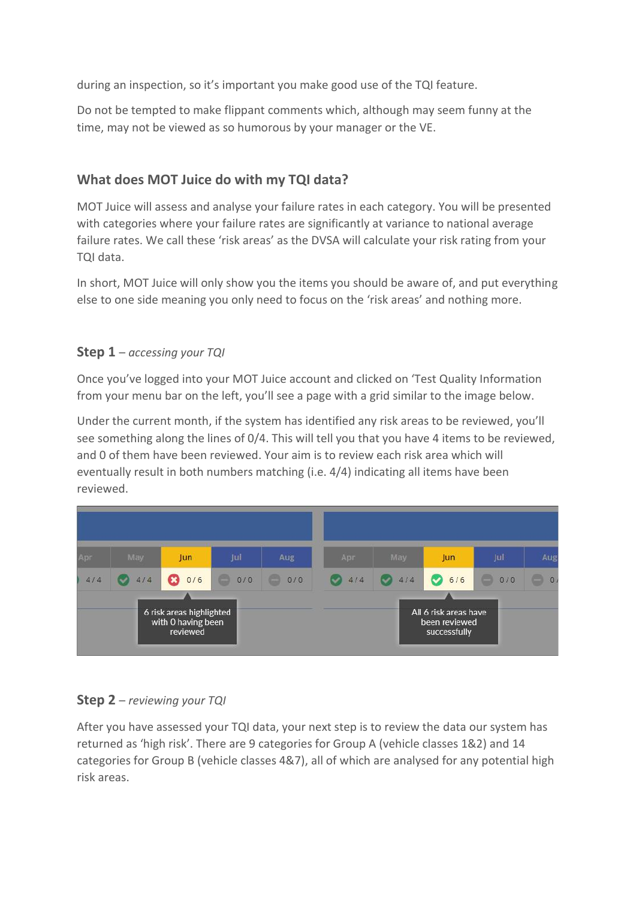during an inspection, so it's important you make good use of the TQI feature.

Do not be tempted to make flippant comments which, although may seem funny at the time, may not be viewed as so humorous by your manager or the VE.

# **What does MOT Juice do with my TQI data?**

MOT Juice will assess and analyse your failure rates in each category. You will be presented with categories where your failure rates are significantly at variance to national average failure rates. We call these 'risk areas' as the DVSA will calculate your risk rating from your TQI data.

In short, MOT Juice will only show you the items you should be aware of, and put everything else to one side meaning you only need to focus on the 'risk areas' and nothing more.

# **Step 1** – *accessing your TQI*

Once you've logged into your MOT Juice account and clicked on 'Test Quality Information from your menu bar on the left, you'll see a page with a grid similar to the image below.

Under the current month, if the system has identified any risk areas to be reviewed, you'll see something along the lines of 0/4. This will tell you that you have 4 items to be reviewed, and 0 of them have been reviewed. Your aim is to review each risk area which will eventually result in both numbers matching (i.e. 4/4) indicating all items have been reviewed.



# **Step 2** – *reviewing your TQI*

After you have assessed your TQI data, your next step is to review the data our system has returned as 'high risk'. There are 9 categories for Group A (vehicle classes 1&2) and 14 categories for Group B (vehicle classes 4&7), all of which are analysed for any potential high risk areas.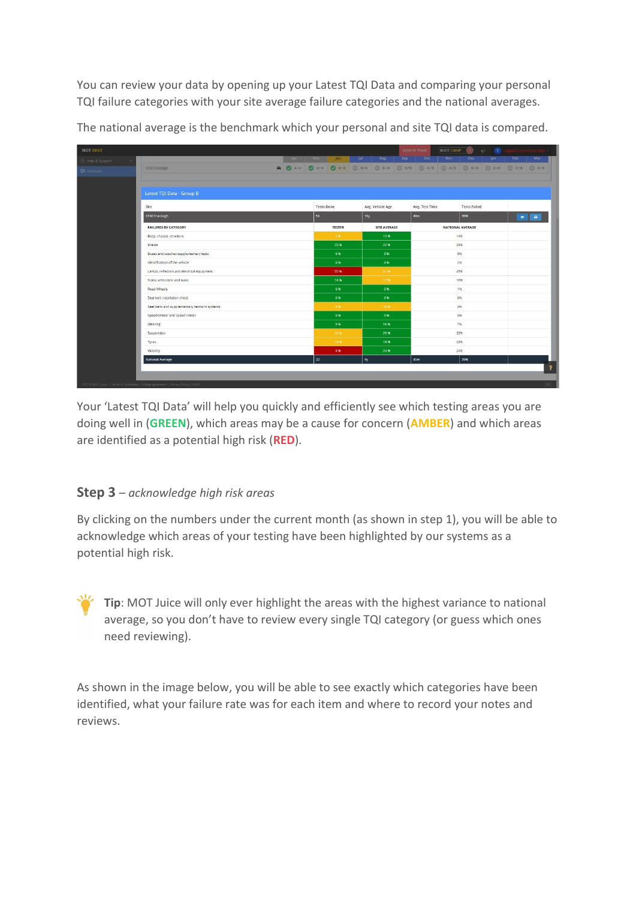You can review your data by opening up your Latest TQI Data and comparing your personal TQI failure categories with your site average failure categories and the national averages.

The national average is the benchmark which your personal and site TQI data is compared.

| <b>MOT JUICE</b>   |                                                                                     |     |                   |               |      |                                                                           |            | <b>DVSA VE PANIC</b> | <b>BOOT CAMP</b> | $\circ$             | $F^2$ T    |           |           |
|--------------------|-------------------------------------------------------------------------------------|-----|-------------------|---------------|------|---------------------------------------------------------------------------|------------|----------------------|------------------|---------------------|------------|-----------|-----------|
| C Help & Support   |                                                                                     | Apr | May               | Jun           | Jul. | Aug                                                                       | <b>Sep</b> | Oct                  | Nov              | Dec                 | <b>Jan</b> | Feb       | Mar       |
| <b>Ed</b> Feedback | <b>CONTINUES</b>                                                                    |     |                   |               |      | A 0 4/4 0 4/4 0 6/6 0 4/6 0 4/6 0 4/6 0 4/6 0 4/6 0 4/6 0 4/6 0 4/6 0 4/6 |            |                      |                  |                     |            |           |           |
|                    |                                                                                     |     |                   |               |      |                                                                           |            |                      |                  |                     |            |           |           |
|                    |                                                                                     |     |                   |               |      |                                                                           |            |                      |                  |                     |            |           |           |
|                    | Latest TQI Data - Group B                                                           |     |                   |               |      |                                                                           |            |                      |                  |                     |            |           |           |
|                    | Site                                                                                |     | <b>Tests Done</b> |               |      | Avg. Vehicle Age                                                          |            | Avg. Test Time       |                  | <b>Tests Failed</b> |            |           |           |
|                    | <b>CCM Cranleigh</b>                                                                |     | 56                |               |      | 10y                                                                       |            | 40 <sub>m</sub>      |                  | 39%                 |            | $\bullet$ | $\bullet$ |
|                    | <b>FAILURES BY CATEGORY</b>                                                         |     |                   | <b>TESTER</b> |      | SITE AVERAGE                                                              |            |                      |                  | NATIONAL AVERAGE    |            |           |           |
|                    | Body, chassis, structure                                                            |     |                   | $-5.96$       |      | 15%                                                                       |            |                      |                  | 14%                 |            |           |           |
|                    | Brakes                                                                              |     |                   | 23%           |      | 22%                                                                       |            |                      |                  | 25%                 |            |           |           |
|                    | Buses and coaches supplementary tests                                               |     |                   | 0%            |      | 0%                                                                        |            |                      |                  | $Q\psi_0$           |            |           |           |
|                    | Identification of the vehicle                                                       |     |                   | 0%            |      | 0%                                                                        |            |                      |                  | 2%                  |            |           |           |
|                    | Lamps, reflectors and electrical equipment                                          |     |                   | 55%           |      | 51.95                                                                     |            |                      |                  | 45%                 |            |           |           |
|                    | Noise, emissions and leaks                                                          |     |                   | 14%           |      | 17%                                                                       |            |                      |                  | 10%                 |            |           |           |
|                    | Road Wheels                                                                         |     |                   | 0%            |      | $-0.96$                                                                   |            |                      |                  | 1%                  |            |           |           |
|                    | Seat belt installation check                                                        |     |                   | 0%            |      | 0%                                                                        |            |                      |                  | $Q\psi_0$           |            |           |           |
|                    | Seat belts and supplementary restraint systems                                      |     |                   | 996           |      | 10%                                                                       |            |                      |                  | 4%                  |            |           |           |
|                    | Speedometer and speed limiter<br>Steering                                           |     |                   | 0%<br>9%      |      | 0%<br>10%                                                                 |            |                      |                  | 0%<br>7%            |            |           |           |
|                    | Suspension                                                                          |     |                   | 23.96         |      | 29%                                                                       |            |                      |                  | 32%                 |            |           |           |
|                    | Tyres                                                                               |     |                   | 14.90         |      | 19%                                                                       |            |                      |                  | 22%                 |            |           |           |
|                    | Visibility                                                                          |     |                   | 9%            |      | 24%                                                                       |            |                      |                  | 24%                 |            |           |           |
|                    | <b>National Average</b>                                                             |     | 32                |               |      | 9y                                                                        |            | 45m                  |                  | 29%                 |            |           |           |
|                    |                                                                                     |     |                   |               |      |                                                                           |            |                      |                  |                     |            |           | 3         |
|                    |                                                                                     |     |                   |               |      |                                                                           |            |                      |                  |                     |            |           |           |
|                    | -2021 © MOT Juice:   Terms & Conditions   Billing Agreement   Privacy Policy   EULA |     |                   |               |      |                                                                           |            |                      |                  |                     |            |           |           |

Your 'Latest TQI Data' will help you quickly and efficiently see which testing areas you are doing well in (**GREEN**), which areas may be a cause for concern (**AMBER**) and which areas are identified as a potential high risk (**RED**).

# **Step 3** – *acknowledge high risk areas*

By clicking on the numbers under the current month (as shown in step 1), you will be able to acknowledge which areas of your testing have been highlighted by our systems as a potential high risk.

**Tip**: MOT Juice will only ever highlight the areas with the highest variance to national average, so you don't have to review every single TQI category (or guess which ones need reviewing).

As shown in the image below, you will be able to see exactly which categories have been identified, what your failure rate was for each item and where to record your notes and reviews.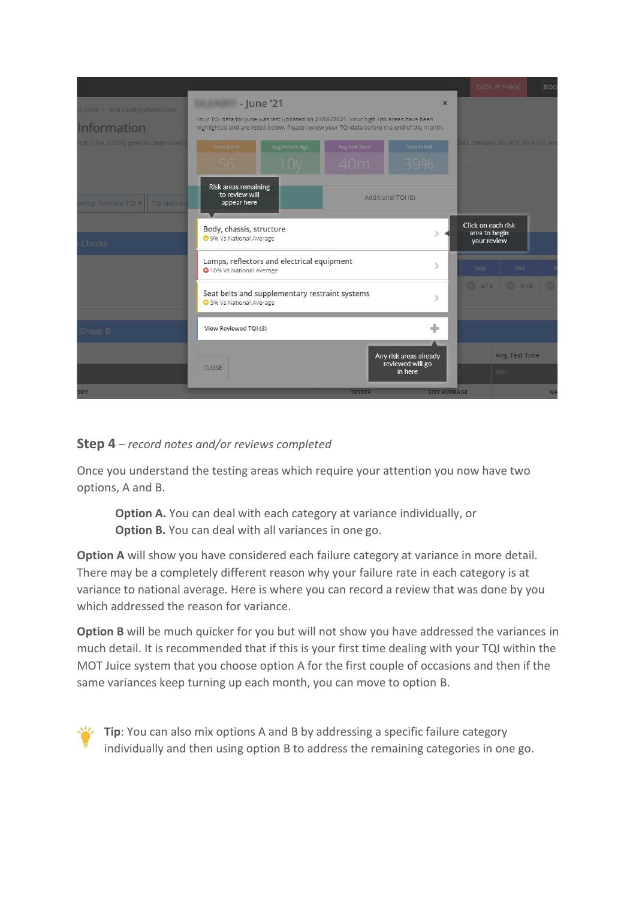|                                                         |                                                                                                                                                                                                   |                      |                                                       | <b>DVSA VE PANIC</b>                               | BOO |
|---------------------------------------------------------|---------------------------------------------------------------------------------------------------------------------------------------------------------------------------------------------------|----------------------|-------------------------------------------------------|----------------------------------------------------|-----|
| Centre > Test Quality Information<br><b>Information</b> | - June '21<br>Your TQI data for June was last updated on 23/06/2021. Your high risk areas have been<br>highlighted and are listed below. Please review your TQI data before the end of the month. |                      | $\times$                                              |                                                    |     |
| (QI) is the starting point to understand                | Avg Vehicle Age<br><b>Tests Done</b><br>56<br>$\mathbb{N}$                                                                                                                                        | Avg Test Time<br>40m | <b>Tests Failed</b><br>39%                            | ata, compare this with their site and              |     |
| wing: Personal TQI -<br><b>TOI Help GL</b>              | Risk areas remaining<br>to review will<br>appear here                                                                                                                                             |                      | Additional TQI (8)                                    |                                                    |     |
| Checks                                                  | Body, chassis, structure<br><b>O</b> 9% Vs National Average                                                                                                                                       |                      |                                                       | Click on each risk<br>area to begin<br>your review |     |
|                                                         | Lamps, reflectors and electrical equipment<br>10% Vs National Average<br>Seat belts and supplementary restraint systems                                                                           |                      | $\mathcal{P}$                                         | Oct<br>Sep<br>$-0/0$                               |     |
| Group B                                                 | S% Vs National Average<br>View Reviewed TQI (3)                                                                                                                                                   |                      | ÷                                                     |                                                    |     |
|                                                         | CLOSE                                                                                                                                                                                             |                      | Any risk areas already<br>reviewed will go<br>in here | Avg. Test Time<br>40m                              |     |
| <b>DRY</b>                                              |                                                                                                                                                                                                   | <b>TESTER</b>        | <b>SITE AVERAGE</b>                                   |                                                    | NA  |

## **Step 4** – *record notes and/or reviews completed*

Once you understand the testing areas which require your attention you now have two options, A and B.

**Option A.** You can deal with each category at variance individually, or **Option B.** You can deal with all variances in one go.

**Option A** will show you have considered each failure category at variance in more detail. There may be a completely different reason why your failure rate in each category is at variance to national average. Here is where you can record a review that was done by you which addressed the reason for variance.

**Option B** will be much quicker for you but will not show you have addressed the variances in much detail. It is recommended that if this is your first time dealing with your TQI within the MOT Juice system that you choose option A for the first couple of occasions and then if the same variances keep turning up each month, you can move to option B.

**Tip**: You can also mix options A and B by addressing a specific failure category individually and then using option B to address the remaining categories in one go.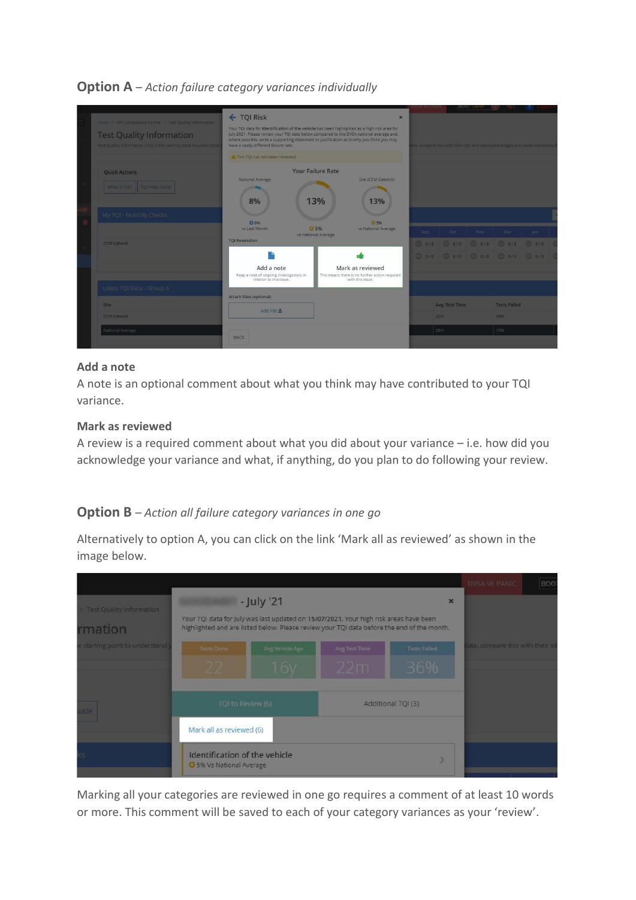| Home > VTS Compliance Centre > Test Quality Information<br><b>Test Quality Information</b><br>Test Quality information (TQI) is the starting point to understand | ← TQI Risk<br>Your TQI data for Identification of the vehicle has been highlighted as a high risk area for<br>July 2021. Please review your TQI data below compared to the DVSA national average and,<br>where possible, write a supporting statement or justification as to why you think you may<br>have a vastly different failure rate. | $\mathbf{x}$                                                                           |     |                                                         | <b>BOOT CWI</b> | <b>CALL AND</b>                   | ta, compare this with their site and national averages and understand why t |  |
|------------------------------------------------------------------------------------------------------------------------------------------------------------------|---------------------------------------------------------------------------------------------------------------------------------------------------------------------------------------------------------------------------------------------------------------------------------------------------------------------------------------------|----------------------------------------------------------------------------------------|-----|---------------------------------------------------------|-----------------|-----------------------------------|-----------------------------------------------------------------------------|--|
| <b>Quick Actions</b><br>What is TQP TQI Help Guide                                                                                                               | This TQI has not been reviewed<br>National Average<br>8%                                                                                                                                                                                                                                                                                    | <b>Your Failure Rate</b><br>Site (CCM Gatwick)<br>13%<br>13%                           |     |                                                         |                 |                                   |                                                                             |  |
| My TQI - Monthly Checks<br><b>CCM Gatwick</b>                                                                                                                    | O 096<br>vs Last Month<br><b>TOI Resolution</b>                                                                                                                                                                                                                                                                                             | ○ 5%<br>◎ 5%<br>vs National Average<br>vs National Average                             | Sep | Oct<br>$0.00$ $0.00$ $0.00$ $0.00$ $0.00$ $0.00$ $0.00$ |                 | Nov Dec Jan                       |                                                                             |  |
| Latest TOI Data - Group A                                                                                                                                        | Add a note<br>Keep a note of ongoing investigations in<br>relation to this issue.                                                                                                                                                                                                                                                           | Mark as reviewed<br>This means there is no further action required<br>with this issue. |     | $-0/0$ $-0/0$ $-0/0$ $-0/0$ $-0/0$                      |                 |                                   |                                                                             |  |
| <b>Site</b><br><b>CCM Gatwick</b><br>National Average                                                                                                            | Attach Files (optional)<br>Add File 3                                                                                                                                                                                                                                                                                                       |                                                                                        |     | Avg. Test Time<br>22m<br>28m                            |                 | <b>Tests Failed</b><br>36%<br>15% |                                                                             |  |
|                                                                                                                                                                  | BACK                                                                                                                                                                                                                                                                                                                                        |                                                                                        |     |                                                         |                 |                                   |                                                                             |  |

# **Option A** – *Action failure category variances individually*

### **Add a note**

A note is an optional comment about what you think may have contributed to your TQI variance.

#### **Mark as reviewed**

A review is a required comment about what you did about your variance – i.e. how did you acknowledge your variance and what, if anything, do you plan to do following your review.

# **Option B** – *Action all failure category variances in one go*

Alternatively to option A, you can click on the link 'Mark all as reviewed' as shown in the image below.



Marking all your categories are reviewed in one go requires a comment of at least 10 words or more. This comment will be saved to each of your category variances as your 'review'.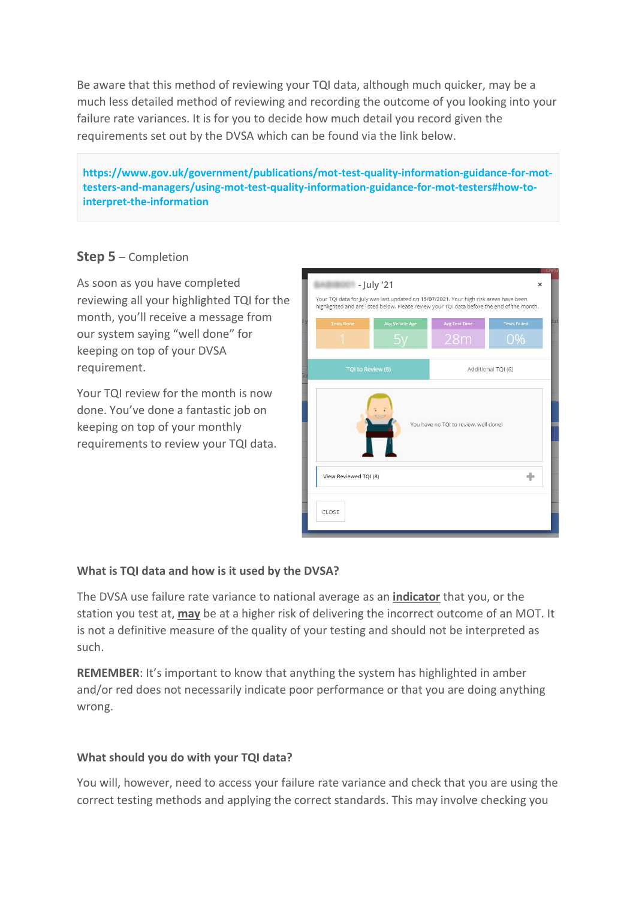Be aware that this method of reviewing your TQI data, although much quicker, may be a much less detailed method of reviewing and recording the outcome of you looking into your failure rate variances. It is for you to decide how much detail you record given the requirements set out by the DVSA which can be found via the link below.

**https://www.gov.uk/government/publications/mot-test-quality-information-guidance-for-mottesters-and-managers/using-mot-test-quality-information-guidance-for-mot-testers#how-tointerpret-the-information**

# **Step 5** – Completion

As soon as you have completed reviewing all your highlighted TQI for the month, you'll receive a message from our system saying "well done" for keeping on top of your DVSA requirement.

Your TQI review for the month is now done. You've done a fantastic job on keeping on top of your monthly requirements to review your TQI data.

| <b>Tests Done</b>     | <b>Avg Vehicle Age</b> | <b>Avg Test Time</b><br>28m           | <b>Tests Failed</b><br>0% |
|-----------------------|------------------------|---------------------------------------|---------------------------|
| TQI to Review (8)     |                        |                                       | Additional TQI (6)        |
| View Reviewed TQI (8) |                        | You have no TQI to review, well done! |                           |

# **What is TQI data and how is it used by the DVSA?**

The DVSA use failure rate variance to national average as an **indicator** that you, or the station you test at, **may** be at a higher risk of delivering the incorrect outcome of an MOT. It is not a definitive measure of the quality of your testing and should not be interpreted as such.

**REMEMBER**: It's important to know that anything the system has highlighted in amber and/or red does not necessarily indicate poor performance or that you are doing anything wrong.

## **What should you do with your TQI data?**

You will, however, need to access your failure rate variance and check that you are using the correct testing methods and applying the correct standards. This may involve checking you